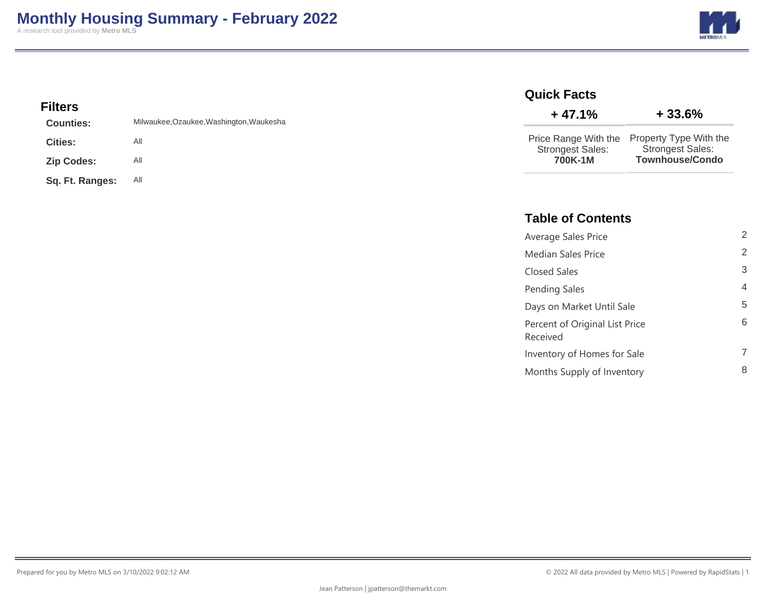

## **Filters**

| <b>Counties:</b>  | Milwaukee, Ozaukee, Washington, Waukesha |
|-------------------|------------------------------------------|
| <b>Cities:</b>    | All                                      |
| <b>Zip Codes:</b> | All                                      |
| Sq. Ft. Ranges:   | All                                      |

#### **Quick Facts**

| $+47.1%$                           | $+33.6%$                                                                                  |
|------------------------------------|-------------------------------------------------------------------------------------------|
| <b>Strongest Sales:</b><br>700K-1M | Price Range With the Property Type With the<br><b>Strongest Sales:</b><br>Townhouse/Condo |

## **Table of Contents**

| Average Sales Price                        | 2 |
|--------------------------------------------|---|
| <b>Median Sales Price</b>                  | 2 |
| Closed Sales                               | 3 |
| Pending Sales                              | 4 |
| Days on Market Until Sale                  | 5 |
| Percent of Original List Price<br>Received | 6 |
| Inventory of Homes for Sale                | 7 |
| Months Supply of Inventory                 | 8 |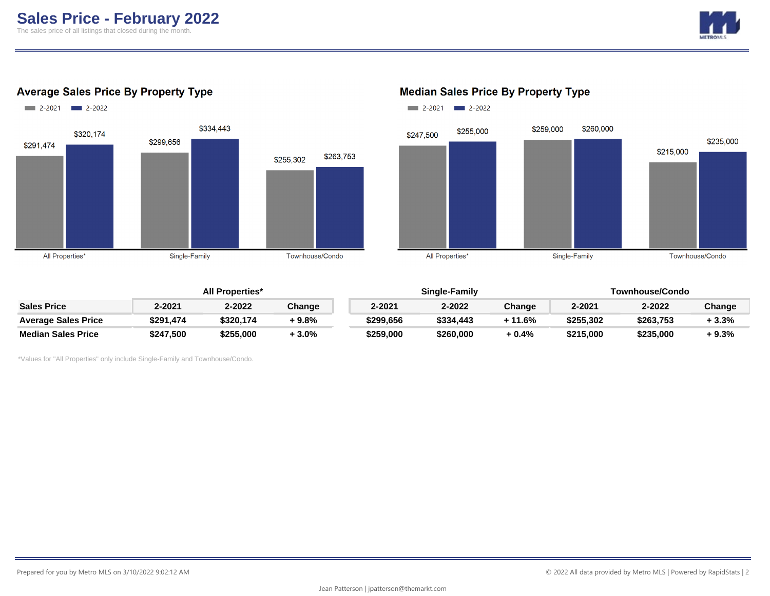

## **Average Sales Price By Property Type**



## $2-2021$   $2-2022$ \$260,000 \$259,000 \$255,000 \$247,500 \$235,000 \$215,000 All Properties\* Single-Family Townhouse/Condo

### **All Properties\* Single-Family Townhouse/Condo Sales Price 2-2021 2-2022 Change 2-2021 2-2022 Change 2-2021 2-2022 Change Average Sales Price \$291,474 \$320,174 + 9.8% \$299,656 \$334,443 + 11.6% \$255,302 \$263,753 + 3.3% Median Sales Price \$247,500 \$255,000 + 3.0% \$259,000 \$260,000 + 0.4% \$215,000 \$235,000 + 9.3%**

\*Values for "All Properties" only include Single-Family and Townhouse/Condo.

#### **Median Sales Price By Property Type**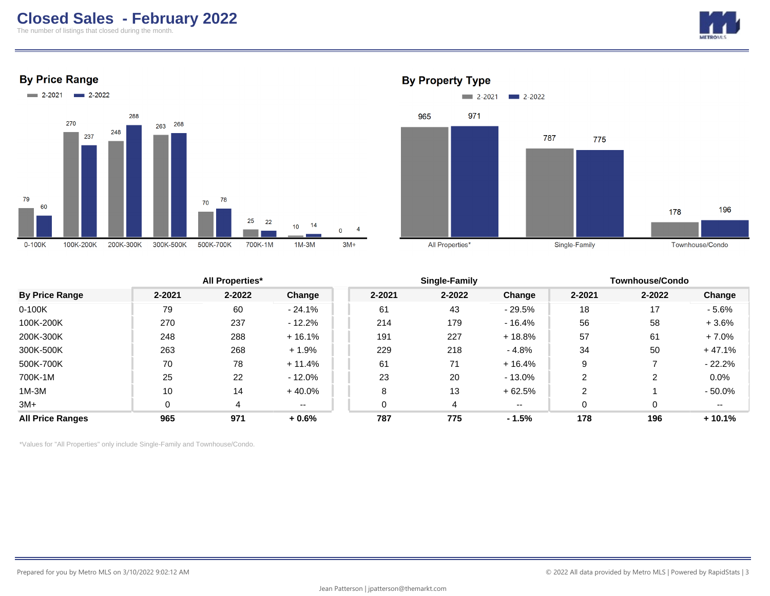# **Closed Sales - February 2022**

The number of listings that closed during the month.









#### **By Property Type**

|                         | <b>All Properties*</b> |        |           |        | Single-Family |               |        | <b>Townhouse/Condo</b> |          |  |
|-------------------------|------------------------|--------|-----------|--------|---------------|---------------|--------|------------------------|----------|--|
| <b>By Price Range</b>   | 2-2021                 | 2-2022 | Change    | 2-2021 | 2-2022        | Change        | 2-2021 | 2-2022                 | Change   |  |
| $0-100K$                | 79                     | 60     | $-24.1%$  | 61     | 43            | $-29.5%$      | 18     | 17                     | $-5.6%$  |  |
| 100K-200K               | 270                    | 237    | $-12.2%$  | 214    | 179           | $-16.4%$      | 56     | 58                     | $+3.6%$  |  |
| 200K-300K               | 248                    | 288    | $+16.1%$  | 191    | 227           | $+18.8%$      | 57     | 61                     | $+7.0%$  |  |
| 300K-500K               | 263                    | 268    | $+1.9%$   | 229    | 218           | - 4.8%        | 34     | 50                     | $+47.1%$ |  |
| 500K-700K               | 70                     | 78     | $+11.4%$  | 61     | 71            | $+16.4%$      | 9      |                        | $-22.2%$ |  |
| 700K-1M                 | 25                     | 22     | $-12.0\%$ | 23     | 20            | - 13.0%       | າ      | 2                      | 0.0%     |  |
| $1M-3M$                 | 10                     | 14     | $+40.0%$  | 8      | 13            | $+62.5%$      | 2      |                        | - 50.0%  |  |
| $3M+$                   | 0                      | 4      | $- -$     |        | 4             | $\sim$ $\sim$ | 0      | 0                      | $- -$    |  |
| <b>All Price Ranges</b> | 965                    | 971    | $+0.6%$   | 787    | 775           | $-1.5%$       | 178    | 196                    | $+10.1%$ |  |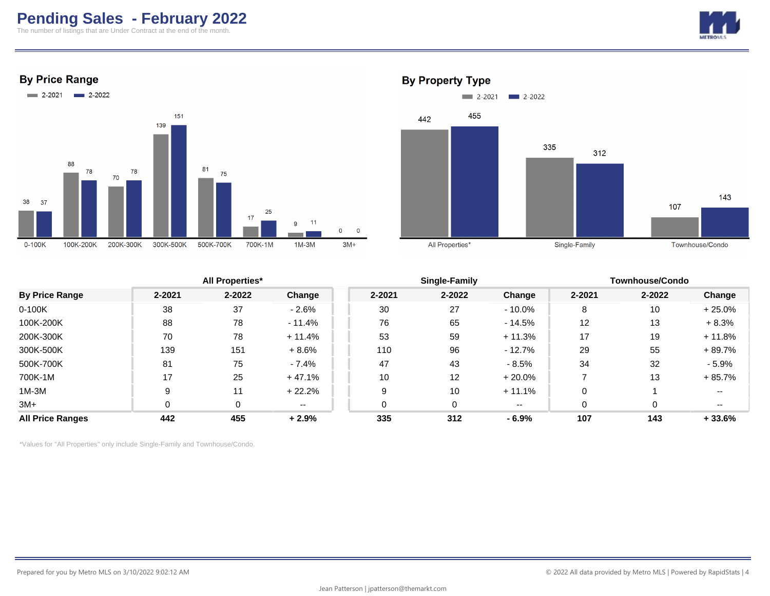# **Pending Sales - February 2022**

The number of listings that are Under Contract at the end of the month.







**By Property Type** 



|                         | <b>All Properties*</b> |            |          |            | Single-Family |           |        | <b>Townhouse/Condo</b> |          |  |
|-------------------------|------------------------|------------|----------|------------|---------------|-----------|--------|------------------------|----------|--|
| <b>By Price Range</b>   | $2 - 2021$             | $2 - 2022$ | Change   | $2 - 2021$ | 2-2022        | Change    | 2-2021 | $2 - 2022$             | Change   |  |
| $0-100K$                | 38                     | 37         | $-2.6%$  | 30         | 27            | $-10.0\%$ | 8      | 10                     | $+25.0%$ |  |
| 100K-200K               | 88                     | 78         | $-11.4%$ | 76         | 65            | $-14.5%$  | 12     | 13                     | $+8.3%$  |  |
| 200K-300K               | 70                     | 78         | $+11.4%$ | 53         | 59            | $+11.3%$  | 17     | 19                     | $+11.8%$ |  |
| 300K-500K               | 139                    | 151        | $+8.6%$  | 110        | 96            | $-12.7\%$ | 29     | 55                     | + 89.7%  |  |
| 500K-700K               | 81                     | 75         | $-7.4%$  | 47         | 43            | $-8.5\%$  | 34     | 32                     | $-5.9%$  |  |
| 700K-1M                 | 17                     | 25         | $+47.1%$ | 10         | 12            | $+20.0%$  |        | 13                     | $+85.7%$ |  |
| 1M-3M                   | 9                      | 11         | $+22.2%$ |            | 10            | $+11.1%$  |        |                        | $- -$    |  |
| $3M+$                   | 0                      | 0          | $- -$    |            | 0             | $- -$     |        |                        | $- -$    |  |
| <b>All Price Ranges</b> | 442                    | 455        | $+2.9%$  | 335        | 312           | - 6.9%    | 107    | 143                    | $+33.6%$ |  |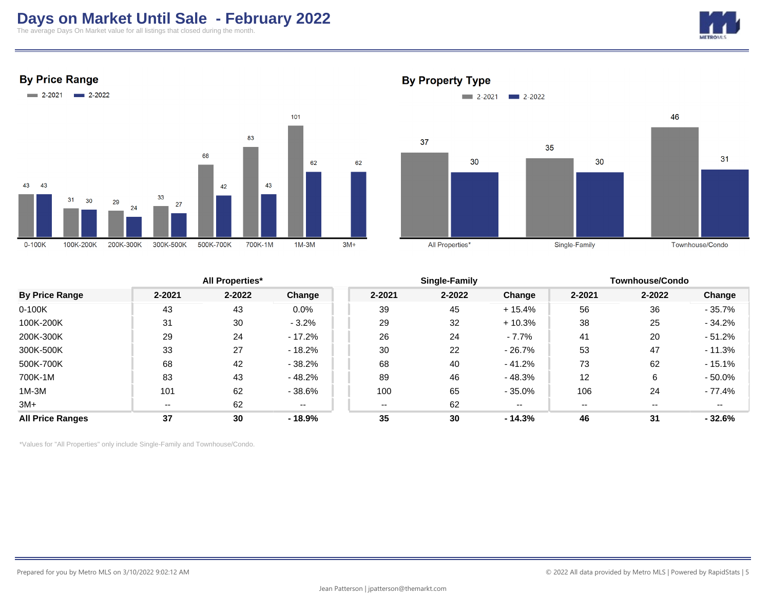# **Days on Market Until Sale - February 2022**

The average Days On Market value for all listings that closed during the month.



#### **By Price Range**



#### **By Property Type**



|                         |        | <b>All Properties*</b> |          |        | Single-Family |           |        | <b>Townhouse/Condo</b> |           |  |
|-------------------------|--------|------------------------|----------|--------|---------------|-----------|--------|------------------------|-----------|--|
| <b>By Price Range</b>   | 2-2021 | 2-2022                 | Change   | 2-2021 | 2-2022        | Change    | 2-2021 | 2-2022                 | Change    |  |
| $0-100K$                | 43     | 43                     | 0.0%     | 39     | 45            | $+15.4%$  | 56     | 36                     | $-35.7\%$ |  |
| 100K-200K               | 31     | 30                     | $-3.2%$  | 29     | 32            | $+10.3%$  | 38     | 25                     | $-34.2%$  |  |
| 200K-300K               | 29     | 24                     | $-17.2%$ | 26     | 24            | $-7.7\%$  | 41     | 20                     | $-51.2%$  |  |
| 300K-500K               | 33     | 27                     | $-18.2%$ | 30     | 22            | $-26.7\%$ | 53     | 47                     | $-11.3%$  |  |
| 500K-700K               | 68     | 42                     | $-38.2%$ | 68     | 40            | $-41.2%$  | 73     | 62                     | $-15.1%$  |  |
| 700K-1M                 | 83     | 43                     | $-48.2%$ | 89     | 46            | $-48.3%$  | 12     | 6                      | $-50.0%$  |  |
| $1M-3M$                 | 101    | 62                     | $-38.6%$ | 100    | 65            | $-35.0%$  | 106    | 24                     | - 77.4%   |  |
| $3M+$                   | $- -$  | 62                     | $- -$    | $- -$  | 62            | $- -$     | $- -$  | --                     | $- -$     |  |
| <b>All Price Ranges</b> | 37     | 30                     | $-18.9%$ | 35     | 30            | - 14.3%   | 46     | 31                     | $-32.6%$  |  |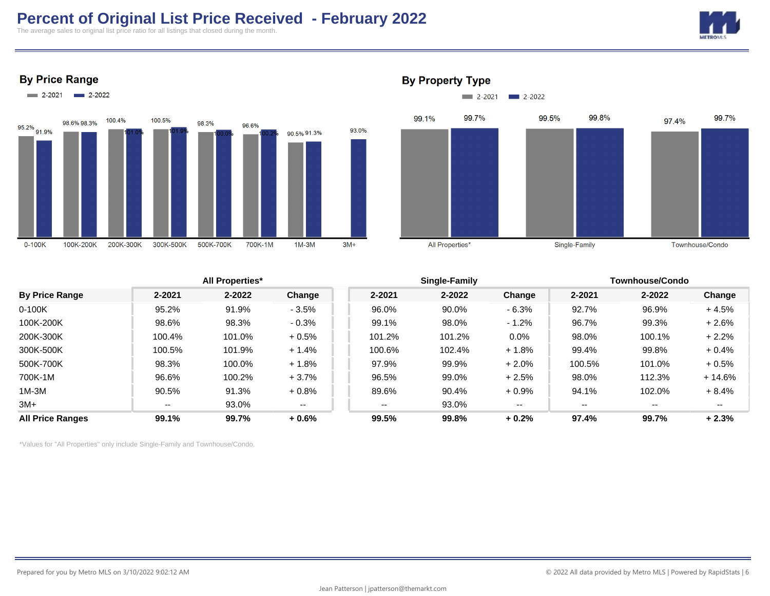# **Percent of Original List Price Received - February 2022**

The average sales to original list price ratio for all listings that closed during the month.











#### **By Property Type**

|                         |                          | <b>All Properties*</b> |         |        | Single-Family |          |                          | Townhouse/Condo |          |  |
|-------------------------|--------------------------|------------------------|---------|--------|---------------|----------|--------------------------|-----------------|----------|--|
| <b>By Price Range</b>   | 2-2021                   | 2-2022                 | Change  | 2-2021 | $2 - 2022$    | Change   | 2-2021                   | $2 - 2022$      | Change   |  |
| $0-100K$                | 95.2%                    | 91.9%                  | $-3.5%$ | 96.0%  | 90.0%         | $-6.3%$  | 92.7%                    | 96.9%           | $+4.5%$  |  |
| 100K-200K               | 98.6%                    | 98.3%                  | $-0.3%$ | 99.1%  | 98.0%         | $-1.2\%$ | 96.7%                    | 99.3%           | $+2.6%$  |  |
| 200K-300K               | 100.4%                   | 101.0%                 | $+0.5%$ | 101.2% | 101.2%        | $0.0\%$  | 98.0%                    | 100.1%          | $+2.2%$  |  |
| 300K-500K               | 100.5%                   | 101.9%                 | $+1.4%$ | 100.6% | 102.4%        | $+1.8%$  | 99.4%                    | 99.8%           | $+0.4%$  |  |
| 500K-700K               | 98.3%                    | 100.0%                 | $+1.8%$ | 97.9%  | 99.9%         | $+2.0%$  | 100.5%                   | 101.0%          | $+0.5%$  |  |
| 700K-1M                 | 96.6%                    | 100.2%                 | $+3.7%$ | 96.5%  | 99.0%         | $+2.5%$  | 98.0%                    | 112.3%          | $+14.6%$ |  |
| $1M-3M$                 | 90.5%                    | 91.3%                  | $+0.8%$ | 89.6%  | 90.4%         | $+0.9%$  | 94.1%                    | 102.0%          | $+8.4%$  |  |
| $3M+$                   | $\overline{\phantom{a}}$ | 93.0%                  | $- -$   | $- -$  | 93.0%         | $- -$    | $\overline{\phantom{m}}$ | --              | $- -$    |  |
| <b>All Price Ranges</b> | 99.1%                    | 99.7%                  | $+0.6%$ | 99.5%  | 99.8%         | $+0.2%$  | 97.4%                    | 99.7%           | $+2.3%$  |  |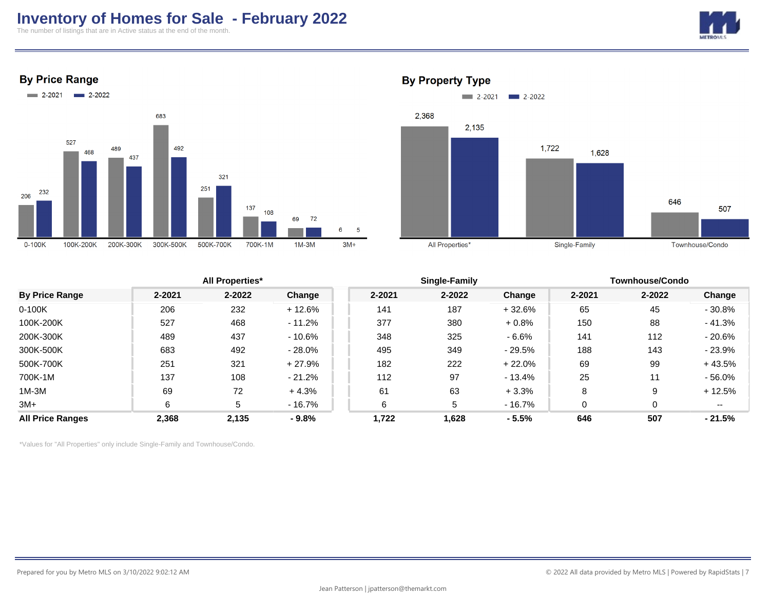# **Inventory of Homes for Sale - February 2022**

The number of listings that are in Active status at the end of the month.



**By Price Range** 



## **By Property Type**



|                         |        | <b>All Properties*</b> |           |        | Single-Family |          |        | Townhouse/Condo |           |  |
|-------------------------|--------|------------------------|-----------|--------|---------------|----------|--------|-----------------|-----------|--|
| <b>By Price Range</b>   | 2-2021 | 2-2022                 | Change    | 2-2021 | 2-2022        | Change   | 2-2021 | 2-2022          | Change    |  |
| $0-100K$                | 206    | 232                    | $+12.6%$  | 141    | 187           | $+32.6%$ | 65     | 45              | $-30.8%$  |  |
| 100K-200K               | 527    | 468                    | $-11.2%$  | 377    | 380           | $+0.8%$  | 150    | 88              | $-41.3%$  |  |
| 200K-300K               | 489    | 437                    | $-10.6%$  | 348    | 325           | $-6.6%$  | 141    | 112             | $-20.6\%$ |  |
| 300K-500K               | 683    | 492                    | $-28.0\%$ | 495    | 349           | $-29.5%$ | 188    | 143             | $-23.9\%$ |  |
| 500K-700K               | 251    | 321                    | $+27.9%$  | 182    | 222           | + 22.0%  | 69     | 99              | $+43.5%$  |  |
| 700K-1M                 | 137    | 108                    | $-21.2%$  | 112    | 97            | $-13.4%$ | 25     | 11              | $-56.0\%$ |  |
| $1M-3M$                 | 69     | 72                     | $+4.3%$   | 61     | 63            | $+3.3%$  | 8      | 9               | $+12.5%$  |  |
| 3M+                     | 6      | 5                      | $-16.7%$  | 6      | 5             | $-16.7%$ | 0      | 0               | --        |  |
| <b>All Price Ranges</b> | 2,368  | 2,135                  | $-9.8%$   | 1,722  | 1,628         | $-5.5%$  | 646    | 507             | $-21.5%$  |  |